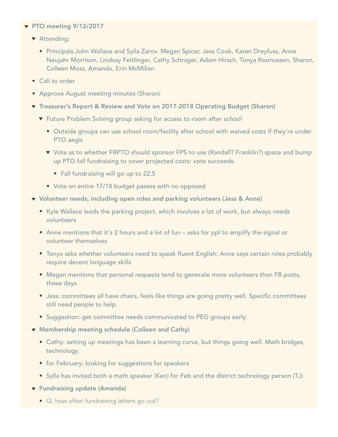## $\blacktriangledown$  PTO meeting 9/12/2017

- **T** Attending:
	- Principals John Wallace and Sylla Zarov. Megan Spicer, Jess Cook, Karen Dreyfuss, Anne Neujahr Morrison, Lindsay Feitlinger, Cathy Schrager, Adam Hirsch, Tonya Rasmussen, Sharon, Colleen Moss, Amanda, Erin McMillan
- Call to order
- Approve August meeting minutes (Sharon)
- ▼ Treasurer's Report & Review and Vote on 2017-2018 Operating Budget (Sharon)
	- **T** Future Problem Solving group asking for access to room after school
		- Outside groups can use school room/facility after school with waived costs if they're under PTO aegis
		- ▼ Vote as to whether FRPTO should sponsor FPS to use (Randall? Franklin?) space and bump up PTO fall fundraising to cover projected costs: vote succeeds.
			- Fall fundraising will go up to 22,5
		- Vote on entire 17/18 budget passes with no opposed
- Volunteer needs, including open roles and parking volunteers (Jess & Anne)
	- Kyle Wallace leads the parking project, which involves a lot of work, but always needs volunteers
	- Anne mentions that it's 2 hours and a lot of fun asks for ppl to amplify the signal or volunteer themselves
	- Tonya asks whether volunteers need to speak fluent English; Anne says certain roles probably require decent language skills
	- Megan mentions that personal requests tend to generate more volunteers than FB posts, these days
	- Jess: committees all have chairs, feels like things are going pretty well. Specific committees still need people to help.
	- Suggestion: get committee needs communicated to PEG groups early.
- $\blacktriangledown$  Membership meeting schedule (Colleen and Cathy)
	- Cathy: setting up meetings has been a learning curve, but things going well. Math bridges, technology.
	- **•** for February: looking for suggestions for speakers
	- Sylla has invited both a math speaker (Ken) for Feb and the district technology person (TJ)
- **T** Fundraising update (Amanda)
	- Q: how often fundraising letters go out?